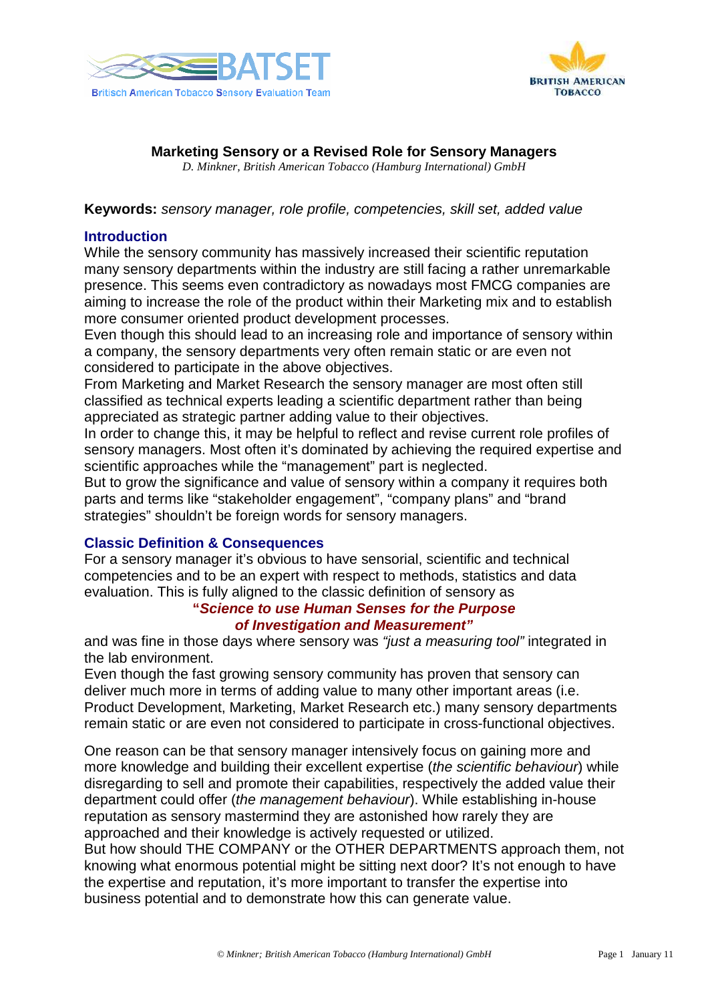



# **Marketing Sensory or a Revised Role for Sensory Managers**

*D. Minkner, British American Tobacco (Hamburg International) GmbH*

**Keywords:** sensory manager, role profile, competencies, skill set, added value

#### **Introduction**

While the sensory community has massively increased their scientific reputation many sensory departments within the industry are still facing a rather unremarkable presence. This seems even contradictory as nowadays most FMCG companies are aiming to increase the role of the product within their Marketing mix and to establish more consumer oriented product development processes.

Even though this should lead to an increasing role and importance of sensory within a company, the sensory departments very often remain static or are even not considered to participate in the above objectives.

From Marketing and Market Research the sensory manager are most often still classified as technical experts leading a scientific department rather than being appreciated as strategic partner adding value to their objectives.

In order to change this, it may be helpful to reflect and revise current role profiles of sensory managers. Most often it's dominated by achieving the required expertise and scientific approaches while the "management" part is neglected.

But to grow the significance and value of sensory within a company it requires both parts and terms like "stakeholder engagement", "company plans" and "brand strategies" shouldn't be foreign words for sensory managers.

## **Classic Definition & Consequences**

For a sensory manager it's obvious to have sensorial, scientific and technical competencies and to be an expert with respect to methods, statistics and data evaluation. This is fully aligned to the classic definition of sensory as

## **"Science to use Human Senses for the Purpose of Investigation and Measurement"**

and was fine in those days where sensory was "just a measuring tool" integrated in the lab environment.

Even though the fast growing sensory community has proven that sensory can deliver much more in terms of adding value to many other important areas (i.e. Product Development, Marketing, Market Research etc.) many sensory departments remain static or are even not considered to participate in cross-functional objectives.

One reason can be that sensory manager intensively focus on gaining more and more knowledge and building their excellent expertise (the scientific behaviour) while disregarding to sell and promote their capabilities, respectively the added value their department could offer (the management behaviour). While establishing in-house reputation as sensory mastermind they are astonished how rarely they are approached and their knowledge is actively requested or utilized. But how should THE COMPANY or the OTHER DEPARTMENTS approach them, not knowing what enormous potential might be sitting next door? It's not enough to have the expertise and reputation, it's more important to transfer the expertise into

business potential and to demonstrate how this can generate value.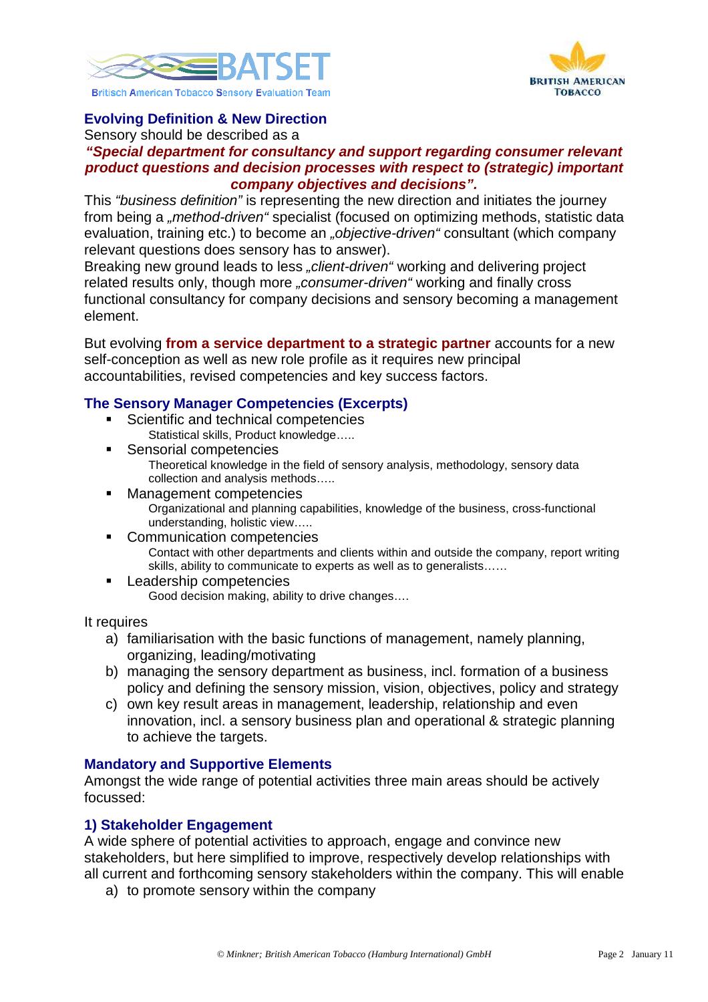



# **Evolving Definition & New Direction**

Sensory should be described as a

#### **"Special department for consultancy and support regarding consumer relevant product questions and decision processes with respect to (strategic) important company objectives and decisions".**

This "business definition" is representing the new direction and initiates the journey from being a "*method-driven"* specialist (focused on optimizing methods, statistic data evaluation, training etc.) to become an *"objective-driven"* consultant (which company relevant questions does sensory has to answer).

Breaking new ground leads to less "*client-driven"* working and delivering project related results only, though more *..consumer-driven* "working and finally cross functional consultancy for company decisions and sensory becoming a management element.

But evolving **from a service department to a strategic partner** accounts for a new self-conception as well as new role profile as it requires new principal accountabilities, revised competencies and key success factors.

## **The Sensory Manager Competencies (Excerpts)**

- Scientific and technical competencies Statistical skills, Product knowledge…..
- Sensorial competencies Theoretical knowledge in the field of sensory analysis, methodology, sensory data collection and analysis methods…..
- Management competencies Organizational and planning capabilities, knowledge of the business, cross-functional understanding, holistic view…..
- Communication competencies Contact with other departments and clients within and outside the company, report writing skills, ability to communicate to experts as well as to generalists……
- **Leadership competencies** Good decision making, ability to drive changes….

It requires

- a) familiarisation with the basic functions of management, namely planning, organizing, leading/motivating
- b) managing the sensory department as business, incl. formation of a business policy and defining the sensory mission, vision, objectives, policy and strategy
- c) own key result areas in management, leadership, relationship and even innovation, incl. a sensory business plan and operational & strategic planning to achieve the targets.

## **Mandatory and Supportive Elements**

Amongst the wide range of potential activities three main areas should be actively focussed:

## **1) Stakeholder Engagement**

A wide sphere of potential activities to approach, engage and convince new stakeholders, but here simplified to improve, respectively develop relationships with all current and forthcoming sensory stakeholders within the company. This will enable

a) to promote sensory within the company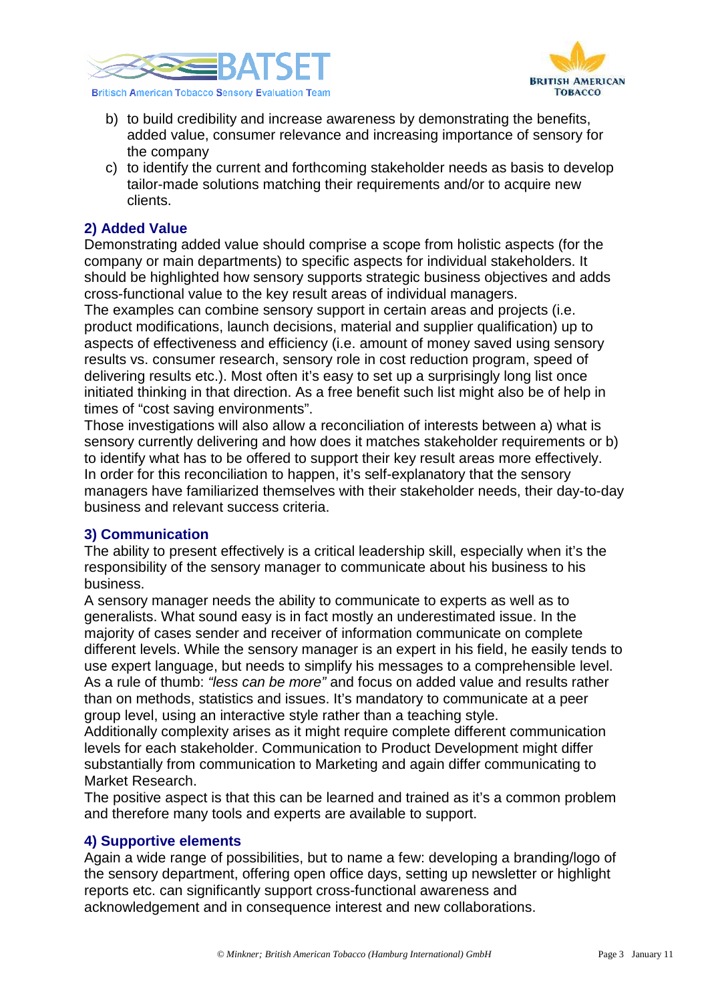



- b) to build credibility and increase awareness by demonstrating the benefits, added value, consumer relevance and increasing importance of sensory for the company
- c) to identify the current and forthcoming stakeholder needs as basis to develop tailor-made solutions matching their requirements and/or to acquire new clients.

# **2) Added Value**

Demonstrating added value should comprise a scope from holistic aspects (for the company or main departments) to specific aspects for individual stakeholders. It should be highlighted how sensory supports strategic business objectives and adds cross-functional value to the key result areas of individual managers.

The examples can combine sensory support in certain areas and projects (i.e. product modifications, launch decisions, material and supplier qualification) up to aspects of effectiveness and efficiency (i.e. amount of money saved using sensory results vs. consumer research, sensory role in cost reduction program, speed of delivering results etc.). Most often it's easy to set up a surprisingly long list once initiated thinking in that direction. As a free benefit such list might also be of help in times of "cost saving environments".

Those investigations will also allow a reconciliation of interests between a) what is sensory currently delivering and how does it matches stakeholder requirements or b) to identify what has to be offered to support their key result areas more effectively. In order for this reconciliation to happen, it's self-explanatory that the sensory managers have familiarized themselves with their stakeholder needs, their day-to-day business and relevant success criteria.

## **3) Communication**

The ability to present effectively is a critical leadership skill, especially when it's the responsibility of the sensory manager to communicate about his business to his business.

A sensory manager needs the ability to communicate to experts as well as to generalists. What sound easy is in fact mostly an underestimated issue. In the majority of cases sender and receiver of information communicate on complete different levels. While the sensory manager is an expert in his field, he easily tends to use expert language, but needs to simplify his messages to a comprehensible level. As a rule of thumb: "less can be more" and focus on added value and results rather than on methods, statistics and issues. It's mandatory to communicate at a peer group level, using an interactive style rather than a teaching style.

Additionally complexity arises as it might require complete different communication levels for each stakeholder. Communication to Product Development might differ substantially from communication to Marketing and again differ communicating to Market Research.

The positive aspect is that this can be learned and trained as it's a common problem and therefore many tools and experts are available to support.

## **4) Supportive elements**

Again a wide range of possibilities, but to name a few: developing a branding/logo of the sensory department, offering open office days, setting up newsletter or highlight reports etc. can significantly support cross-functional awareness and acknowledgement and in consequence interest and new collaborations.